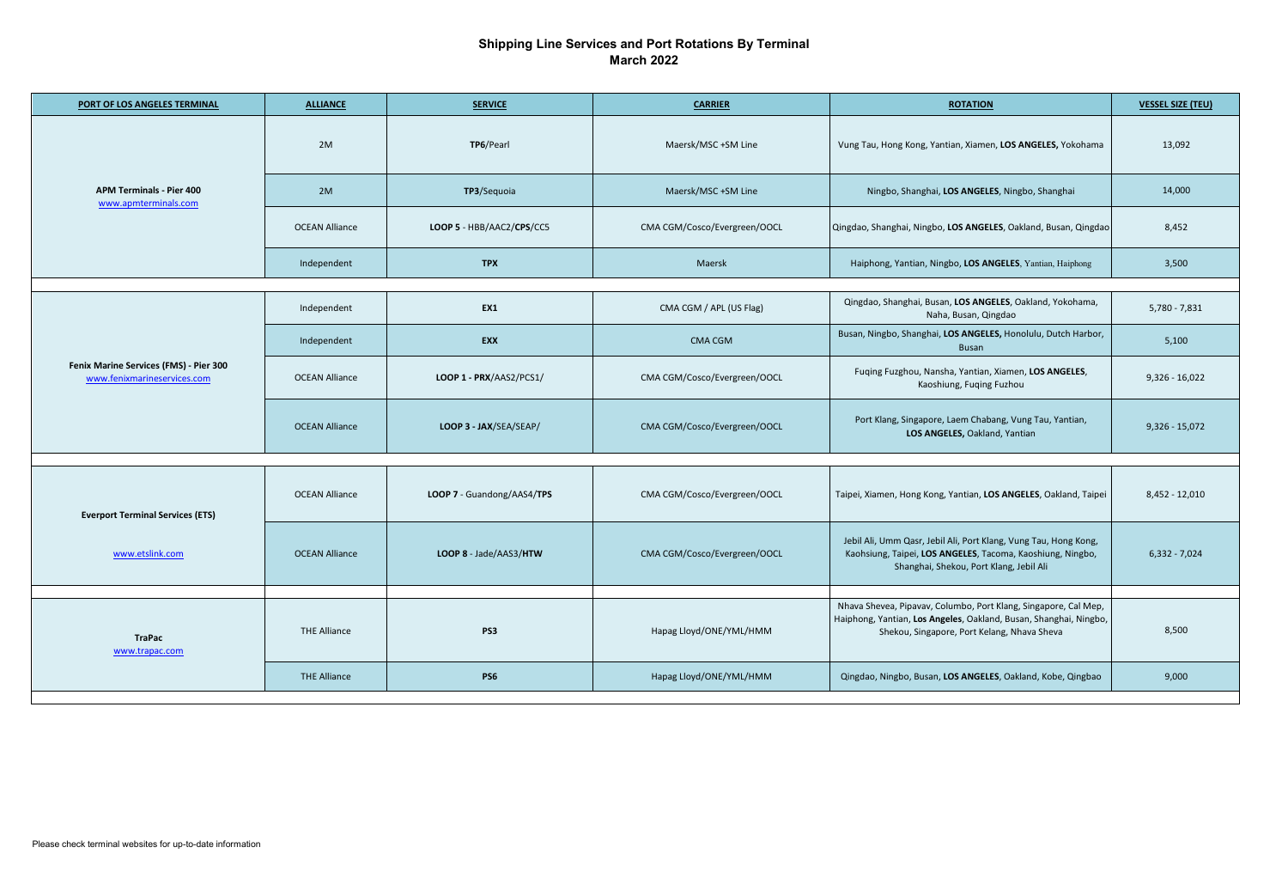## **Shipping Line Services and Port Rotations By Terminal March 2022**

| PORT OF LOS ANGELES TERMINAL                                          | <b>ALLIANCE</b>       | <b>SERVICE</b>             | <b>CARRIER</b>               | <b>ROTATION</b>                                                                                                                                                           | <b>VESSEL SIZE (TEU)</b> |  |  |  |
|-----------------------------------------------------------------------|-----------------------|----------------------------|------------------------------|---------------------------------------------------------------------------------------------------------------------------------------------------------------------------|--------------------------|--|--|--|
| <b>APM Terminals - Pier 400</b><br>www.apmterminals.com               | 2M                    | TP6/Pearl                  | Maersk/MSC +SM Line          | Vung Tau, Hong Kong, Yantian, Xiamen, LOS ANGELES, Yokohama                                                                                                               | 13,092                   |  |  |  |
|                                                                       | 2M                    | TP3/Sequoia                | Maersk/MSC +SM Line          | Ningbo, Shanghai, LOS ANGELES, Ningbo, Shanghai                                                                                                                           | 14,000                   |  |  |  |
|                                                                       | <b>OCEAN Alliance</b> | LOOP 5 - HBB/AAC2/CPS/CC5  | CMA CGM/Cosco/Evergreen/OOCL | Qingdao, Shanghai, Ningbo, LOS ANGELES, Oakland, Busan, Qingdao                                                                                                           | 8,452                    |  |  |  |
|                                                                       | Independent           | <b>TPX</b>                 | Maersk                       | Haiphong, Yantian, Ningbo, LOS ANGELES, Yantian, Haiphong                                                                                                                 | 3,500                    |  |  |  |
| Fenix Marine Services (FMS) - Pier 300<br>www.fenixmarineservices.com | Independent           | EX1                        | CMA CGM / APL (US Flag)      | Qingdao, Shanghai, Busan, LOS ANGELES, Oakland, Yokohama,                                                                                                                 | $5,780 - 7,831$          |  |  |  |
|                                                                       |                       |                            |                              | Naha, Busan, Qingdao<br>Busan, Ningbo, Shanghai, LOS ANGELES, Honolulu, Dutch Harbor,                                                                                     |                          |  |  |  |
|                                                                       | Independent           | EXX                        | <b>CMA CGM</b>               | Busan                                                                                                                                                                     | 5,100                    |  |  |  |
|                                                                       | <b>OCEAN Alliance</b> | LOOP 1 - PRX/AAS2/PCS1/    | CMA CGM/Cosco/Evergreen/OOCL | Fuqing Fuzghou, Nansha, Yantian, Xiamen, LOS ANGELES,<br>Kaoshiung, Fuqing Fuzhou                                                                                         | $9,326 - 16,022$         |  |  |  |
|                                                                       | <b>OCEAN Alliance</b> | LOOP 3 - JAX/SEA/SEAP/     | CMA CGM/Cosco/Evergreen/OOCL | Port Klang, Singapore, Laem Chabang, Vung Tau, Yantian,<br>LOS ANGELES, Oakland, Yantian                                                                                  | $9,326 - 15,072$         |  |  |  |
|                                                                       |                       |                            |                              |                                                                                                                                                                           |                          |  |  |  |
| <b>Everport Terminal Services (ETS)</b><br>www.etslink.com            | <b>OCEAN Alliance</b> | LOOP 7 - Guandong/AAS4/TPS | CMA CGM/Cosco/Evergreen/OOCL | Taipei, Xiamen, Hong Kong, Yantian, LOS ANGELES, Oakland, Taipei                                                                                                          | $8,452 - 12,010$         |  |  |  |
|                                                                       | <b>OCEAN Alliance</b> | LOOP 8 - Jade/AAS3/HTW     | CMA CGM/Cosco/Evergreen/OOCL | Jebil Ali, Umm Qasr, Jebil Ali, Port Klang, Vung Tau, Hong Kong,<br>Kaohsiung, Taipei, LOS ANGELES, Tacoma, Kaoshiung, Ningbo,<br>Shanghai, Shekou, Port Klang, Jebil Ali | $6,332 - 7,024$          |  |  |  |
| <b>TraPac</b><br>www.trapac.com                                       |                       |                            |                              | Nhava Shevea, Pipavav, Columbo, Port Klang, Singapore, Cal Mep,                                                                                                           |                          |  |  |  |
|                                                                       | <b>THE Alliance</b>   | PS3                        | Hapag Lloyd/ONE/YML/HMM      | Haiphong, Yantian, Los Angeles, Oakland, Busan, Shanghai, Ningbo,<br>Shekou, Singapore, Port Kelang, Nhava Sheva                                                          | 8,500                    |  |  |  |
|                                                                       | <b>THE Alliance</b>   | <b>PS6</b>                 | Hapag Lloyd/ONE/YML/HMM      | Qingdao, Ningbo, Busan, LOS ANGELES, Oakland, Kobe, Qingbao                                                                                                               | 9,000                    |  |  |  |